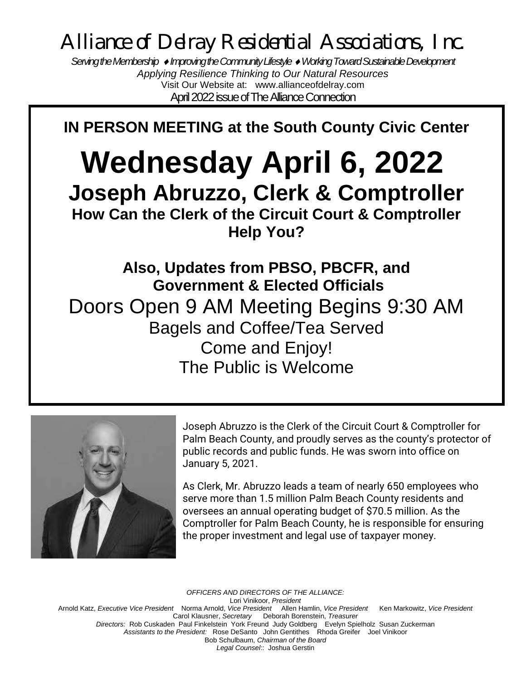*Alliance of Delray Residential Associations, Inc.*

*Serving the Membership Improving the Community Lifestyle Working Toward Sustainable Development Applying Resilience Thinking to Our Natural Resources* Visit Our Website at: www.allianceofdelray.com April 2022 issue of The Alliance Connection

**IN PERSON MEETING at the South County Civic Center**

# **Wednesday April 6, 2022 Joseph Abruzzo, Clerk & Comptroller How Can the Clerk of the Circuit Court & Comptroller Help You?**

**Also, Updates from PBSO, PBCFR, and Government & Elected Officials** Doors Open 9 AM Meeting Begins 9:30 AM Bagels and Coffee/Tea Served Come and Enjoy! The Public is Welcome



Joseph Abruzzo is the Clerk of the Circuit Court & Comptroller for Palm Beach County, and proudly serves as the county's protector of public records and public funds. He was sworn into office on January 5, 2021.

As Clerk, Mr. Abruzzo leads a team of nearly 650 employees who serve more than 1.5 million Palm Beach County residents and oversees an annual operating budget of \$70.5 million. As the Comptroller for Palm Beach County, he is responsible for ensuring the proper investment and legal use of taxpayer money.

*OFFICERS AND DIRECTORS OF THE ALLIANCE:* Lori Vinikoor, *President*  Arnold Katz, *Executive Vice President* Norma Arnold, *Vice President* Allen Hamlin, *Vice President* Ken Markowitz, *Vice President*  Carol Klausner, *Secretary* Deborah Borenstein, *Treasurer Directors:* Rob Cuskaden Paul FinkelsteinYork Freund Judy Goldberg Evelyn Spielholz Susan Zuckerman *Assistants to the President:* Rose DeSanto John Gentithes Rhoda Greifer Joel Vinikoor Bob Schulbaum, *Chairman of the Board Legal Counsel*:: Joshua Gerstin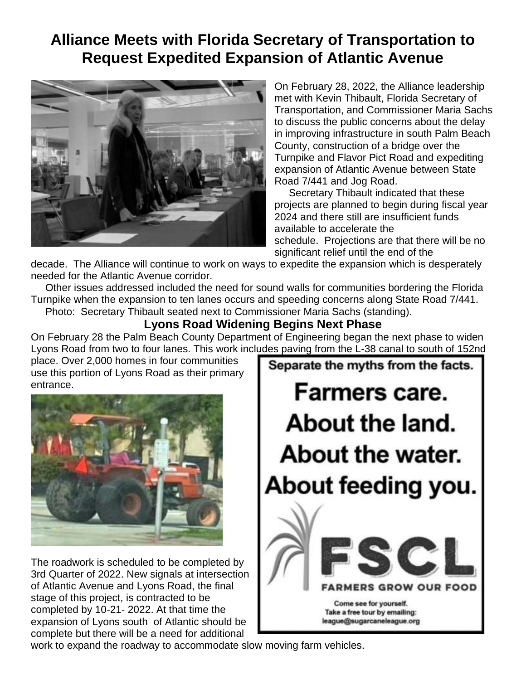### **Alliance Meets with Florida Secretary of Transportation to Request Expedited Expansion of Atlantic Avenue**



On February 28, 2022, the Alliance leadership met with Kevin Thibault, Florida Secretary of Transportation, and Commissioner Maria Sachs to discuss the public concerns about the delay in improving infrastructure in south Palm Beach County, construction of a bridge over the Turnpike and Flavor Pict Road and expediting expansion of Atlantic Avenue between State Road 7/441 and Jog Road.

 Secretary Thibault indicated that these projects are planned to begin during fiscal year 2024 and there still are insufficient funds available to accelerate the schedule. Projections are that there will be no significant relief until the end of the

Separate the myths from the facts.

Farmers care.

About the land.

About the water.

About feeding you.

Come see for yourself. Take a free tour by emailing: league@sugarcaneleague.org

**ERS GROW OUR** 

decade. The Alliance will continue to work on ways to expedite the expansion which is desperately needed for the Atlantic Avenue corridor.

 Other issues addressed included the need for sound walls for communities bordering the Florida Turnpike when the expansion to ten lanes occurs and speeding concerns along State Road 7/441. Photo: Secretary Thibault seated next to Commissioner Maria Sachs (standing).

#### **Lyons Road Widening Begins Next Phase**

On February 28 the Palm Beach County Department of Engineering began the next phase to widen Lyons Road from two to four lanes. This work includes paving from the L-38 canal to south of 152nd

place. Over 2,000 homes in four communities use this portion of Lyons Road as their primary entrance.



The roadwork is scheduled to be completed by 3rd Quarter of 2022. New signals at intersection of Atlantic Avenue and Lyons Road, the final stage of this project, is contracted to be completed by 10-21- 2022. At that time the expansion of Lyons south of Atlantic should be complete but there will be a need for additional

work to expand the roadway to accommodate slow moving farm vehicles.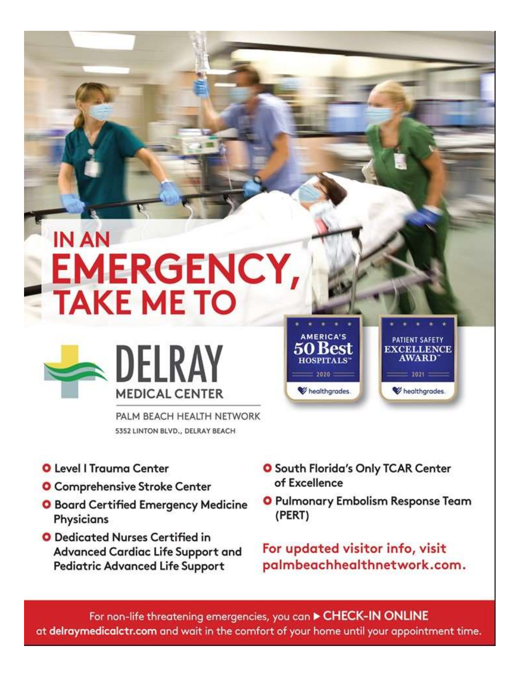# **IN AN EMERGENCY, TAKE ME TO**



PALM BEACH HEALTH NETWORK 5352 LINTON BLVD., DELRAY BEACH

- **O** Level I Trauma Center
- **O** Comprehensive Stroke Center
- **O** Board Certified Emergency Medicine Physicians
- O Dedicated Nurses Certified in Advanced Cardiac Life Support and **Pediatric Advanced Life Support**
- **O** South Florida's Only TCAR Center of Excellence

**AMERICA'S** 

50 Kest

**HOSPITALS** 

 $: 1010$ 

healthgrades.

O Pulmonary Embolism Response Team (PERT)

PATIENT SAFETY

**EXCELLENCE** 

**AWARD** 

 $= 2021 =$ 

healthgrades.

For updated visitor info, visit palmbeachhealthnetwork.com.

For non-life threatening emergencies, you can CHECK-IN ONLINE at delraymedicalctr.com and wait in the comfort of your home until your appointment time.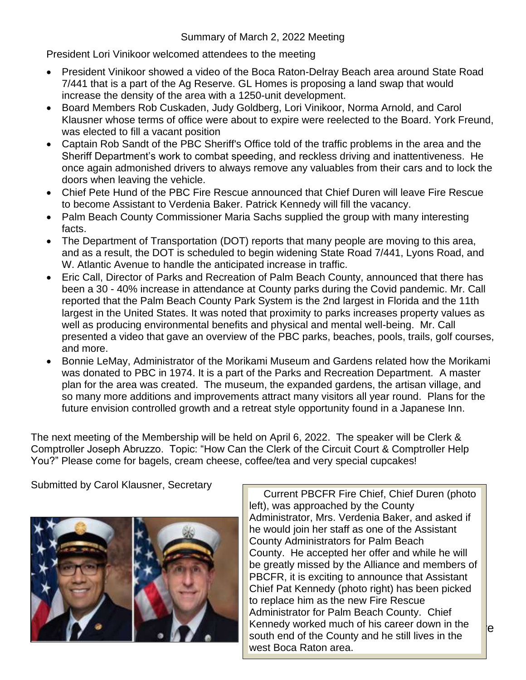#### Summary of March 2, 2022 Meeting

President Lori Vinikoor welcomed attendees to the meeting

- President Vinikoor showed a video of the Boca Raton-Delray Beach area around State Road 7/441 that is a part of the Ag Reserve. GL Homes is proposing a land swap that would increase the density of the area with a 1250-unit development.
- Board Members Rob Cuskaden, Judy Goldberg, Lori Vinikoor, Norma Arnold, and Carol Klausner whose terms of office were about to expire were reelected to the Board. York Freund, was elected to fill a vacant position
- Captain Rob Sandt of the PBC Sheriff's Office told of the traffic problems in the area and the Sheriff Department's work to combat speeding, and reckless driving and inattentiveness. He once again admonished drivers to always remove any valuables from their cars and to lock the doors when leaving the vehicle.
- Chief Pete Hund of the PBC Fire Rescue announced that Chief Duren will leave Fire Rescue to become Assistant to Verdenia Baker. Patrick Kennedy will fill the vacancy.
- Palm Beach County Commissioner Maria Sachs supplied the group with many interesting facts.
- The Department of Transportation (DOT) reports that many people are moving to this area, and as a result, the DOT is scheduled to begin widening State Road 7/441, Lyons Road, and W. Atlantic Avenue to handle the anticipated increase in traffic.
- Eric Call, Director of Parks and Recreation of Palm Beach County, announced that there has been a 30 - 40% increase in attendance at County parks during the Covid pandemic. Mr. Call reported that the Palm Beach County Park System is the 2nd largest in Florida and the 11th largest in the United States. It was noted that proximity to parks increases property values as well as producing environmental benefits and physical and mental well-being. Mr. Call presented a video that gave an overview of the PBC parks, beaches, pools, trails, golf courses, and more.
- Bonnie LeMay, Administrator of the Morikami Museum and Gardens related how the Morikami was donated to PBC in 1974. It is a part of the Parks and Recreation Department. A master plan for the area was created. The museum, the expanded gardens, the artisan village, and so many more additions and improvements attract many visitors all year round. Plans for the future envision controlled growth and a retreat style opportunity found in a Japanese Inn.

The next meeting of the Membership will be held on April 6, 2022. The speaker will be Clerk & Comptroller Joseph Abruzzo. Topic: "How Can the Clerk of the Circuit Court & Comptroller Help You?" Please come for bagels, cream cheese, coffee/tea and very special cupcakes!

Submitted by Carol Klausner, Secretary



Kennedy worked much of his career down in the  $\epsilon$ south end of the County and he still lives in the Wort Boca Paton area Current PBCFR Fire Chief, Chief Duren (photo left), was approached by the County Administrator, Mrs. Verdenia Baker, and asked if he would join her staff as one of the Assistant County Administrators for Palm Beach County. He accepted her offer and while he will be greatly missed by the Alliance and members of PBCFR, it is exciting to announce that Assistant Chief Pat Kennedy (photo right) has been picked to replace him as the new Fire Rescue Administrator for Palm Beach County. Chief west Boca Raton area.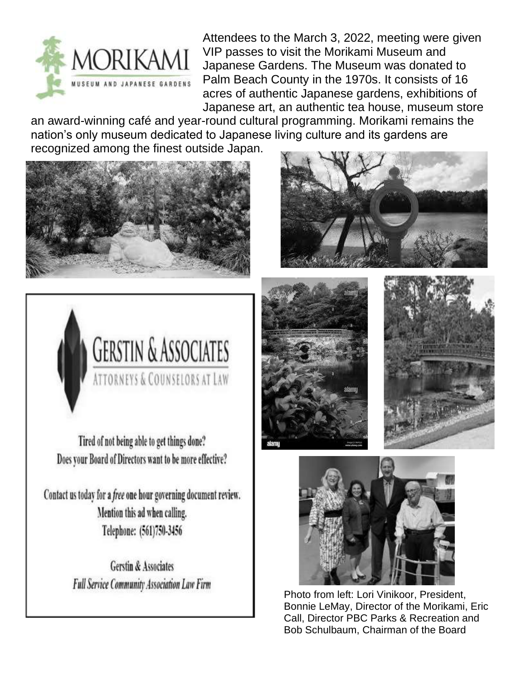

Attendees to the March 3, 2022, meeting were given VIP passes to visit the Morikami Museum and Japanese Gardens. The Museum was donated to Palm Beach County in the 1970s. It consists of 16 acres of authentic Japanese gardens, exhibitions of Japanese art, an authentic tea house, museum store

an award-winning café and year-round cultural programming. Morikami remains the nation's only museum dedicated to Japanese living culture and its gardens are recognized among the finest outside Japan.





Tired of not being able to get things done? Does your Board of Directors want to be more effective?

Contact us today for a free one hour governing document review. Mention this ad when calling. Telephone: (561)750-3456

> **Gerstin & Associates Full Service Community Association Law Firm**









Photo from left: Lori Vinikoor, President, Bonnie LeMay, Director of the Morikami, Eric Call, Director PBC Parks & Recreation and Bob Schulbaum, Chairman of the Board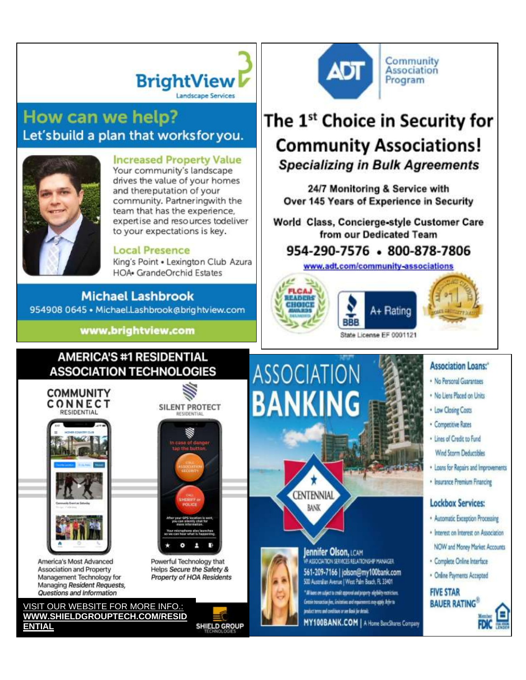# **BrightView Landscape Services**

### How can we help? Let'sbuild a plan that worksfor you.



#### **Increased Property Value**

Your community's landscape drives the value of your homes and thereputation of your community. Partneringwith the team that has the experience. expertise and resources todeliver to your expectations is key.

#### **Local Presence**

King's Point . Lexington Club Azura **HOA**• GrandeOrchid Estates

#### **Michael Lashbrook**

954908 0645 · Michael.Lashbrook@brightview.com

www.brightview.com

#### Community **ADT Association** Program

## The 1<sup>st</sup> Choice in Security for **Community Associations! Specializing in Bulk Agreements**

24/7 Monitoring & Service with Over 145 Years of Experience in Security

World Class, Concierge-style Customer Care from our Dedicated Team

### 954-290-7576 - 800-878-7806

www.adt.com/community-associations





State License EF 0001121

#### **AMERICA'S #1 RESIDENTIAL ASSOCIATION TECHNOLOGIES**



America's Most Advanced Association and Property Management Technology for Managing Resident Requests, Questions and Information

VISIT OUR WEBSITE FOR MORE INFO.: WWW.SHIELDGROUPTECH.COM/RESID **ENTIAL** 





Powerful Technology that Helps Secure the Safety & Property of HOA Residents

**SHIELD GROUP** 

**ASSOCIATION BANKING** 





**VP ASSOCIATION SERVICES RELATIONS OF MANAGER.** 561-209-7166 | jolson@my100bank.com 500 Australian Avenue | West Palm Beach, FL 33401 " Al lase on subject to credit approve and property eliphility rectricitens.

Certrie transaction (ive, Emittelian: and requirements may apply. Anti-r to

MY100BANK.COM | A Home BancShares Company

#### **Association Loans:**"

- . No Personal Guarantees
- . No Liens Placed on Units
- . Low Closing Costs
- · Competitive Rates
- · Lines of Credit to Fund Wind Storm Deductibles
- . Loans for Repairs and Improvements
- · Insurance Premium Financing

#### **Lockbox Services:**

- · Automatic Exception Processing
- · Interest on Interest on Association
- NOW and Money Market Accounts
- · Complete Online Interface
- · Online Payments Accepted





Jennifer Olson, LCAM

product terres and conditions or see Basii for details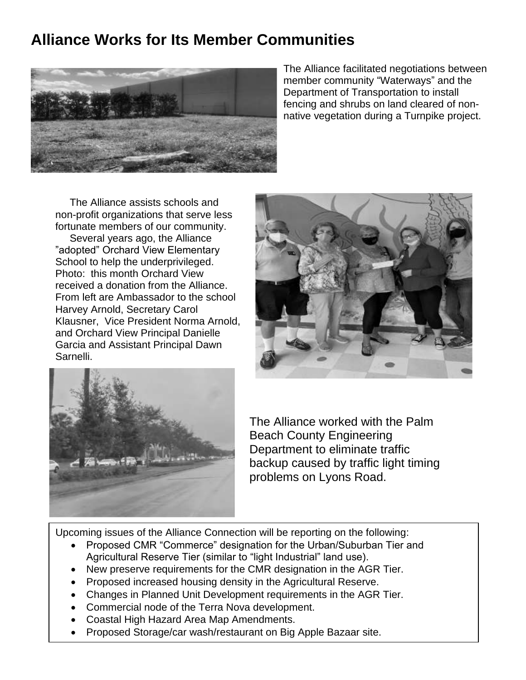### **Alliance Works for Its Member Communities**



The Alliance facilitated negotiations between member community "Waterways" and the Department of Transportation to install fencing and shrubs on land cleared of nonnative vegetation during a Turnpike project.

 The Alliance assists schools and non-profit organizations that serve less fortunate members of our community. Several years ago, the Alliance "adopted" Orchard View Elementary School to help the underprivileged. Photo: this month Orchard View received a donation from the Alliance. From left are Ambassador to the school Harvey Arnold, Secretary Carol Klausner, Vice President Norma Arnold, and Orchard View Principal Danielle Garcia and Assistant Principal Dawn Sarnelli.





The Alliance worked with the Palm Beach County Engineering Department to eliminate traffic backup caused by traffic light timing problems on Lyons Road.

Upcoming issues of the Alliance Connection will be reporting on the following:

- Proposed CMR "Commerce" designation for the Urban/Suburban Tier and Agricultural Reserve Tier (similar to "light Industrial" land use).
- New preserve requirements for the CMR designation in the AGR Tier.
- Proposed increased housing density in the Agricultural Reserve.
- Changes in Planned Unit Development requirements in the AGR Tier.
- Commercial node of the Terra Nova development.
- Coastal High Hazard Area Map Amendments.
- Proposed Storage/car wash/restaurant on Big Apple Bazaar site.